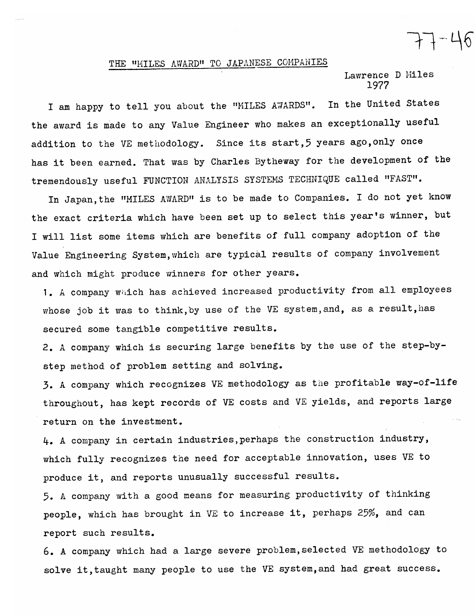## THE "MILES AWARD" TO JAPANESE COMPANIES

Lawrence D Miles 1977

 $77 - 46$ 

In the United States I am happy to tell you about the "MILES AWARDS". the award is made to any Value Engineer who makes an exceptionally useful addition to the VE methodology. Since its start, 5 years ago, only once has it been earned. That was by Charles Bytheway for the development of the tremendously useful FUNCTION ANALYSIS SYSTEMS TECHNIQUE called "FAST".

In Japan, the "MILES AWARD" is to be made to Companies. I do not yet know the exact criteria which have been set up to select this year's winner, but I will list some items which are benefits of full company adoption of the Value Engineering System, which are typical results of company involvement and which might produce winners for other years.

1. A company which has achieved increased productivity from all employees whose job it was to think, by use of the VE system, and, as a result, has secured some tangible competitive results.

2. A company which is securing large benefits by the use of the step-bystep method of problem setting and solving.

3. A company which recognizes VE methodology as the profitable way-of-life throughout, has kept records of VE costs and VE yields, and reports large return on the investment.

4. A company in certain industries, perhaps the construction industry, which fully recognizes the need for acceptable innovation, uses VE to produce it, and reports unusually successful results.

5. A company with a good means for measuring productivity of thinking people, which has brought in VE to increase it, perhaps 25%, and can report such results.

6. A company which had a large severe problem, selected VE methodology to solve it, taught many people to use the VE system, and had great success.